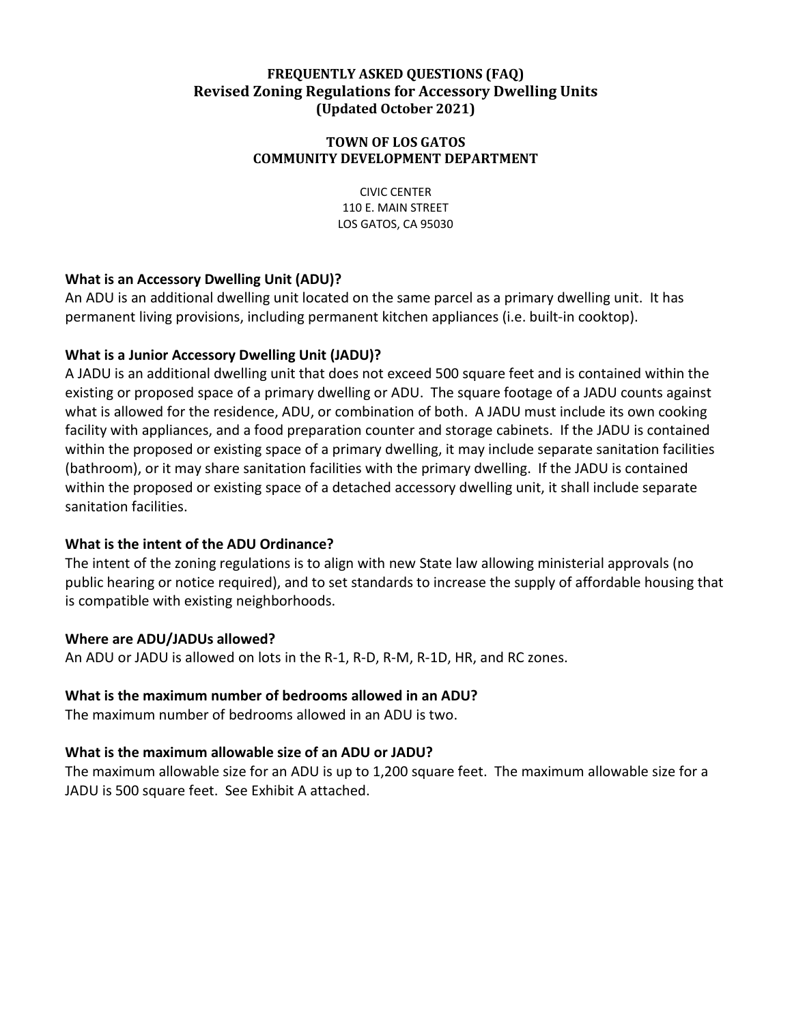## **FREQUENTLY ASKED QUESTIONS (FAQ) Revised Zoning Regulations for Accessory Dwelling Units (Updated October 2021)**

#### **TOWN OF LOS GATOS COMMUNITY DEVELOPMENT DEPARTMENT**

CIVIC CENTER 110 E. MAIN STREET LOS GATOS, CA 95030

## **What is an Accessory Dwelling Unit (ADU)?**

An ADU is an additional dwelling unit located on the same parcel as a primary dwelling unit. It has permanent living provisions, including permanent kitchen appliances (i.e. built-in cooktop).

# **What is a Junior Accessory Dwelling Unit (JADU)?**

A JADU is an additional dwelling unit that does not exceed 500 square feet and is contained within the existing or proposed space of a primary dwelling or ADU. The square footage of a JADU counts against what is allowed for the residence, ADU, or combination of both. A JADU must include its own cooking facility with appliances, and a food preparation counter and storage cabinets. If the JADU is contained within the proposed or existing space of a primary dwelling, it may include separate sanitation facilities (bathroom), or it may share sanitation facilities with the primary dwelling. If the JADU is contained within the proposed or existing space of a detached accessory dwelling unit, it shall include separate sanitation facilities.

# **What is the intent of the ADU Ordinance?**

The intent of the zoning regulations is to align with new State law allowing ministerial approvals (no public hearing or notice required), and to set standards to increase the supply of affordable housing that is compatible with existing neighborhoods.

# **Where are ADU/JADUs allowed?**

An ADU or JADU is allowed on lots in the R-1, R-D, R-M, R-1D, HR, and RC zones.

# **What is the maximum number of bedrooms allowed in an ADU?**

The maximum number of bedrooms allowed in an ADU is two.

# **What is the maximum allowable size of an ADU or JADU?**

The maximum allowable size for an ADU is up to 1,200 square feet. The maximum allowable size for a JADU is 500 square feet. See Exhibit A attached.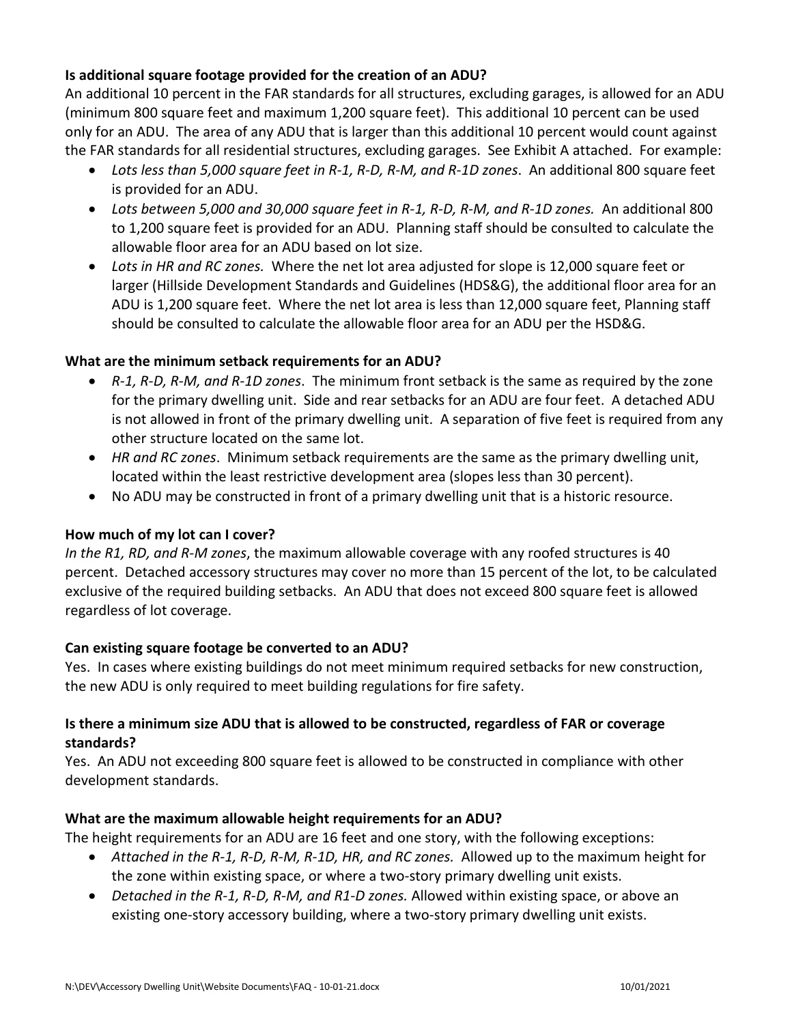# **Is additional square footage provided for the creation of an ADU?**

An additional 10 percent in the FAR standards for all structures, excluding garages, is allowed for an ADU (minimum 800 square feet and maximum 1,200 square feet). This additional 10 percent can be used only for an ADU. The area of any ADU that is larger than this additional 10 percent would count against the FAR standards for all residential structures, excluding garages. See Exhibit A attached. For example:

- *Lots less than 5,000 square feet in R-1, R-D, R-M, and R-1D zones*. An additional 800 square feet is provided for an ADU.
- *Lots between 5,000 and 30,000 square feet in R-1, R-D, R-M, and R-1D zones.* An additional 800 to 1,200 square feet is provided for an ADU. Planning staff should be consulted to calculate the allowable floor area for an ADU based on lot size.
- *Lots in HR and RC zones.* Where the net lot area adjusted for slope is 12,000 square feet or larger (Hillside Development Standards and Guidelines (HDS&G), the additional floor area for an ADU is 1,200 square feet. Where the net lot area is less than 12,000 square feet, Planning staff should be consulted to calculate the allowable floor area for an ADU per the HSD&G.

## **What are the minimum setback requirements for an ADU?**

- *R-1, R-D, R-M, and R-1D zones*. The minimum front setback is the same as required by the zone for the primary dwelling unit. Side and rear setbacks for an ADU are four feet. A detached ADU is not allowed in front of the primary dwelling unit. A separation of five feet is required from any other structure located on the same lot.
- *HR and RC zones*. Minimum setback requirements are the same as the primary dwelling unit, located within the least restrictive development area (slopes less than 30 percent).
- No ADU may be constructed in front of a primary dwelling unit that is a historic resource.

#### **How much of my lot can I cover?**

*In the R1, RD, and R-M zones*, the maximum allowable coverage with any roofed structures is 40 percent. Detached accessory structures may cover no more than 15 percent of the lot, to be calculated exclusive of the required building setbacks. An ADU that does not exceed 800 square feet is allowed regardless of lot coverage.

# **Can existing square footage be converted to an ADU?**

Yes. In cases where existing buildings do not meet minimum required setbacks for new construction, the new ADU is only required to meet building regulations for fire safety.

## **Is there a minimum size ADU that is allowed to be constructed, regardless of FAR or coverage standards?**

Yes. An ADU not exceeding 800 square feet is allowed to be constructed in compliance with other development standards.

#### **What are the maximum allowable height requirements for an ADU?**

The height requirements for an ADU are 16 feet and one story, with the following exceptions:

- *Attached in the R-1, R-D, R-M, R-1D, HR, and RC zones.* Allowed up to the maximum height for the zone within existing space, or where a two-story primary dwelling unit exists.
- *Detached in the R-1, R-D, R-M, and R1-D zones.* Allowed within existing space, or above an existing one-story accessory building, where a two-story primary dwelling unit exists.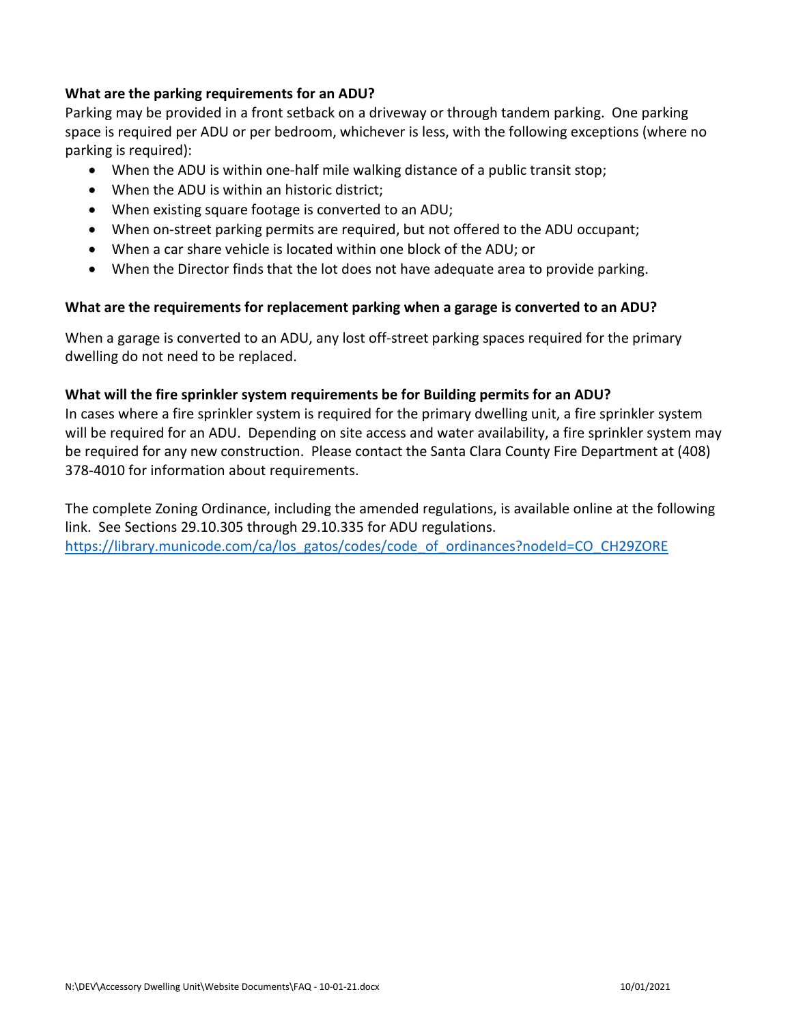## **What are the parking requirements for an ADU?**

Parking may be provided in a front setback on a driveway or through tandem parking. One parking space is required per ADU or per bedroom, whichever is less, with the following exceptions (where no parking is required):

- When the ADU is within one-half mile walking distance of a public transit stop;
- When the ADU is within an historic district;
- When existing square footage is converted to an ADU;
- When on-street parking permits are required, but not offered to the ADU occupant;
- When a car share vehicle is located within one block of the ADU; or
- When the Director finds that the lot does not have adequate area to provide parking.

#### **What are the requirements for replacement parking when a garage is converted to an ADU?**

When a garage is converted to an ADU, any lost off-street parking spaces required for the primary dwelling do not need to be replaced.

#### **What will the fire sprinkler system requirements be for Building permits for an ADU?**

In cases where a fire sprinkler system is required for the primary dwelling unit, a fire sprinkler system will be required for an ADU. Depending on site access and water availability, a fire sprinkler system may be required for any new construction. Please contact the Santa Clara County Fire Department at (408) 378-4010 for information about requirements.

The complete Zoning Ordinance, including the amended regulations, is available online at the following link. See Sections 29.10.305 through 29.10.335 for ADU regulations. [https://library.municode.com/ca/los\\_gatos/codes/code\\_of\\_ordinances?nodeId=CO\\_CH29ZORE](https://library.municode.com/ca/los_gatos/codes/code_of_ordinances?nodeId=CO_CH29ZORE)